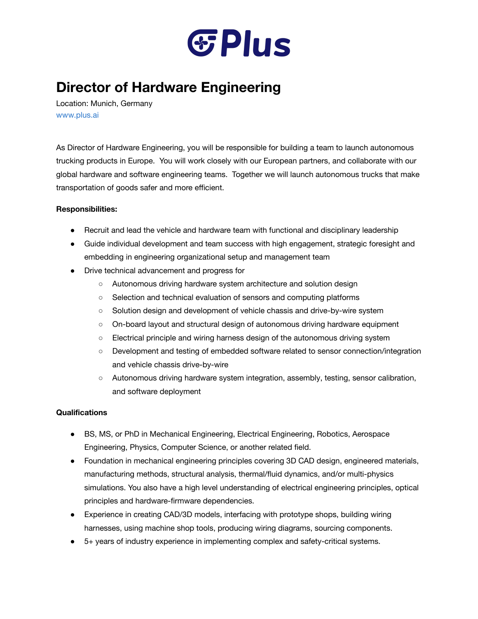

## **Director of Hardware Engineering**

Location: Munich, Germany [www.plus.ai](http://www.plus.ai/)

As Director of Hardware Engineering, you will be responsible for building a team to launch autonomous trucking products in Europe. You will work closely with our European partners, and collaborate with our global hardware and software engineering teams. Together we will launch autonomous trucks that make transportation of goods safer and more efficient.

## **Responsibilities:**

- Recruit and lead the vehicle and hardware team with functional and disciplinary leadership
- Guide individual development and team success with high engagement, strategic foresight and embedding in engineering organizational setup and management team
- Drive technical advancement and progress for
	- Autonomous driving hardware system architecture and solution design
	- Selection and technical evaluation of sensors and computing platforms
	- Solution design and development of vehicle chassis and drive-by-wire system
	- On-board layout and structural design of autonomous driving hardware equipment
	- Electrical principle and wiring harness design of the autonomous driving system
	- Development and testing of embedded software related to sensor connection/integration and vehicle chassis drive-by-wire
	- Autonomous driving hardware system integration, assembly, testing, sensor calibration, and software deployment

## **Qualifications**

- BS, MS, or PhD in Mechanical Engineering, Electrical Engineering, Robotics, Aerospace Engineering, Physics, Computer Science, or another related field.
- Foundation in mechanical engineering principles covering 3D CAD design, engineered materials, manufacturing methods, structural analysis, thermal/fluid dynamics, and/or multi-physics simulations. You also have a high level understanding of electrical engineering principles, optical principles and hardware-firmware dependencies.
- Experience in creating CAD/3D models, interfacing with prototype shops, building wiring harnesses, using machine shop tools, producing wiring diagrams, sourcing components.
- 5+ years of industry experience in implementing complex and safety-critical systems.